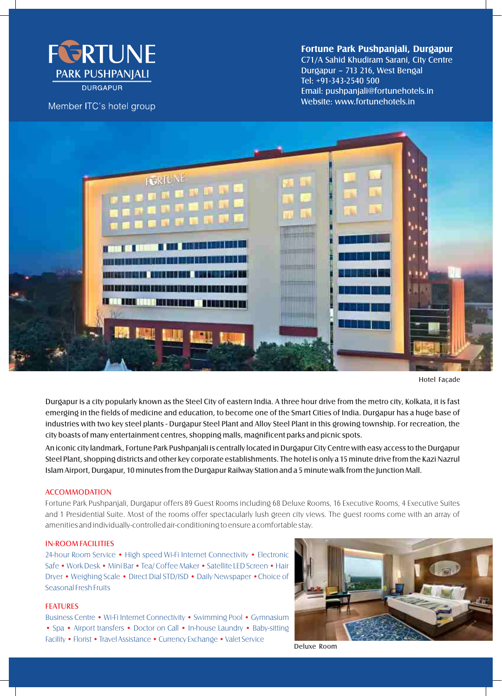

Member ITC's hotel group

# **Fortune Park Pushpanjali, Durgapur**

C71/A Sahid Khudiram Sarani, City Centre Durgapur – 713 216, West Bengal Tel: +91-343-2540 500 Email: pushpanjali@fortunehotels.in Website: www.fortunehotels.in



Hotel Façade

Durgapur is a city popularly known as the Steel City of eastern India. A three hour drive from the metro city, Kolkata, it is fast emerging in the fields of medicine and education, to become one of the Smart Cities of India. Durgapur has a huge base of industries with two key steel plants - Durgapur Steel Plant and Alloy Steel Plant in this growing township. For recreation, the city boasts of many entertainment centres, shopping malls, magnificent parks and picnic spots.

An iconic city landmark, Fortune Park Pushpanjali is centrally located in Durgapur City Centre with easy access to the Durgapur Steel Plant, shopping districts and other key corporate establishments. The hotel is only a 15 minute drive from the Kazi Nazrul Islam Airport, Durgapur, 10 minutes from the Durgapur Railway Station and a 5 minute walk from the Junction Mall.

## ACCOMMODATION

Fortune Park Pushpanjali, Durgapur offers 89 Guest Rooms including 68 Deluxe Rooms, 16 Executive Rooms, 4 Executive Suites and 1 Presidential Suite. Most of the rooms offer spectacularly lush green city views. The guest rooms come with an array of amenities and individually-controlled air-conditioning to ensure a comfortable stay.

### IN-ROOM FACILITIES

24-hour Room Service • High speed Wi-Fi Internet Connectivity • Electronic Safe • Work Desk • Mini Bar • Tea/ Coffee Maker • Satellite LED Screen • Hair Dryer • Weighing Scale • Direct Dial STD/ISD • Daily Newspaper •Choice of Seasonal Fresh Fruits

#### FEATURES

Business Centre • Wi-Fi Internet Connectivity • Swimming Pool • Gymnasium • Spa • Airport transfers • Doctor on Call • In-house Laundry • Baby-sitting Facility • Florist • Travel Assistance • Currency Exchange • Valet Service



Deluxe Room